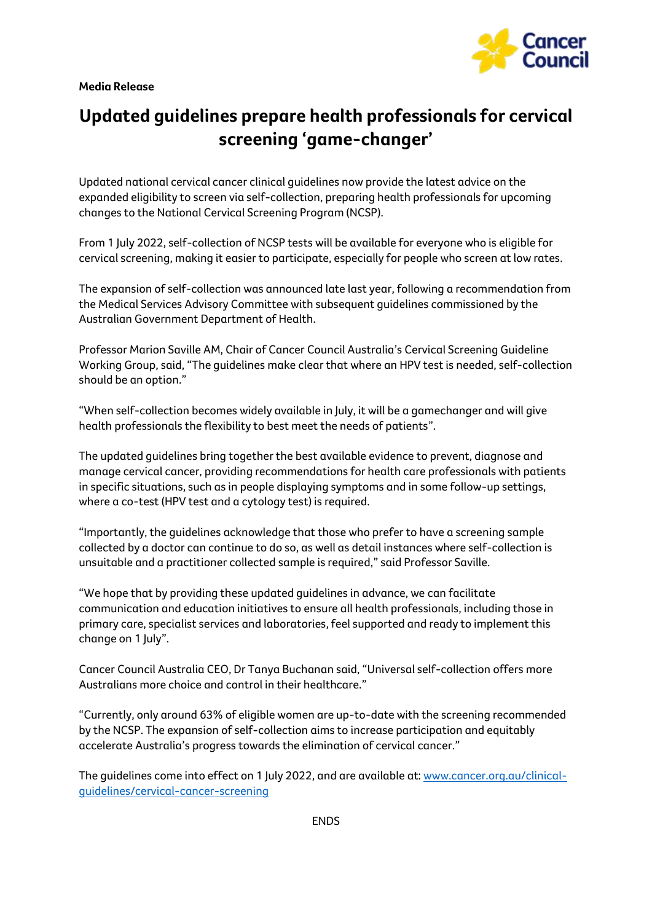**Media Release**



## **Updated guidelines prepare health professionals for cervical screening 'game-changer'**

Updated national cervical cancer clinical guidelines now provide the latest advice on the expanded eligibility to screen via self-collection, preparing health professionals for upcoming changes to the National Cervical Screening Program (NCSP).

From 1 July 2022, self-collection of NCSP tests will be available for everyone who is eligible for cervical screening, making it easier to participate, especially for people who screen at low rates.

The expansion of self-collection was announced late last year, following a recommendation from the Medical Services Advisory Committee with subsequent guidelines commissioned by the Australian Government Department of Health.

Professor Marion Saville AM, Chair of Cancer Council Australia's Cervical Screening Guideline Working Group, said, "The guidelines make clear that where an HPV test is needed, self-collection should be an option."

"When self-collection becomes widely available in July, it will be a gamechanger and will give health professionals the flexibility to best meet the needs of patients".

The updated guidelines bring together the best available evidence to prevent, diagnose and manage cervical cancer, providing recommendations for health care professionals with patients in specific situations, such as in people displaying symptoms and in some follow-up settings, where a co-test (HPV test and a cytology test) is required.

"Importantly, the guidelines acknowledge that those who prefer to have a screening sample collected by a doctor can continue to do so, as well as detail instances where self-collection is unsuitable and a practitioner collected sample is required," said Professor Saville.

"We hope that by providing these updated guidelines in advance, we can facilitate communication and education initiatives to ensure all health professionals, including those in primary care, specialist services and laboratories, feel supported and ready to implement this change on 1 July".

Cancer Council Australia CEO, Dr Tanya Buchanan said, "Universal self-collection offers more Australians more choice and control in their healthcare."

"Currently, only around 63% of eligible women are up-to-date with the screening recommended by the NCSP. The expansion of self-collection aims to increase participation and equitably accelerate Australia's progress towards the elimination of cervical cancer."

The guidelines come into effect on 1 July 2022, and are available at[: www.cancer.org.au/clinical](http://www.cancer.org.au/clinical-guidelines/cervical-cancer-screening)[guidelines/cervical-cancer-screening](http://www.cancer.org.au/clinical-guidelines/cervical-cancer-screening)